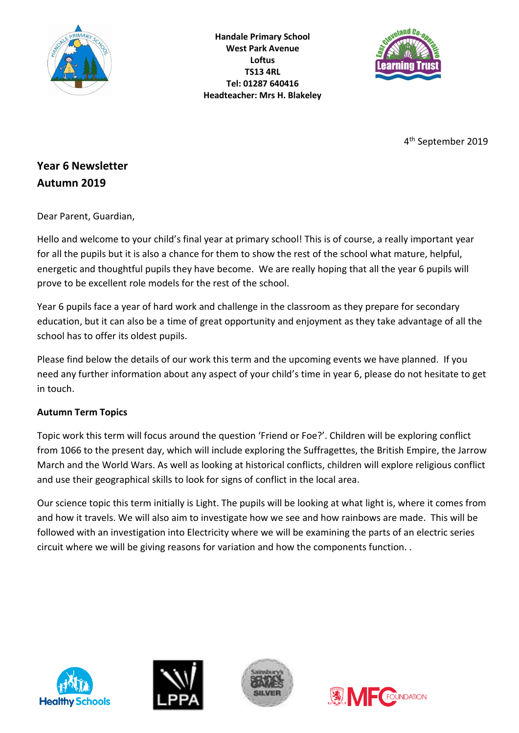

**Handale Primary School West Park Avenue Loftus TS13 4RL Tel: 01287 640416 Headteacher: Mrs H. Blakeley**



4 th September 2019

# **Year 6 Newsletter Autumn 2019**

Dear Parent, Guardian,

Hello and welcome to your child's final year at primary school! This is of course, a really important year for all the pupils but it is also a chance for them to show the rest of the school what mature, helpful, energetic and thoughtful pupils they have become. We are really hoping that all the year 6 pupils will prove to be excellent role models for the rest of the school.

Year 6 pupils face a year of hard work and challenge in the classroom as they prepare for secondary education, but it can also be a time of great opportunity and enjoyment as they take advantage of all the school has to offer its oldest pupils.

Please find below the details of our work this term and the upcoming events we have planned. If you need any further information about any aspect of your child's time in year 6, please do not hesitate to get in touch.

## **Autumn Term Topics**

Topic work this term will focus around the question 'Friend or Foe?'. Children will be exploring conflict from 1066 to the present day, which will include exploring the Suffragettes, the British Empire, the Jarrow March and the World Wars. As well as looking at historical conflicts, children will explore religious conflict and use their geographical skills to look for signs of conflict in the local area.

Our science topic this term initially is Light. The pupils will be looking at what light is, where it comes from and how it travels. We will also aim to investigate how we see and how rainbows are made. This will be followed with an investigation into Electricity where we will be examining the parts of an electric series circuit where we will be giving reasons for variation and how the components function. .